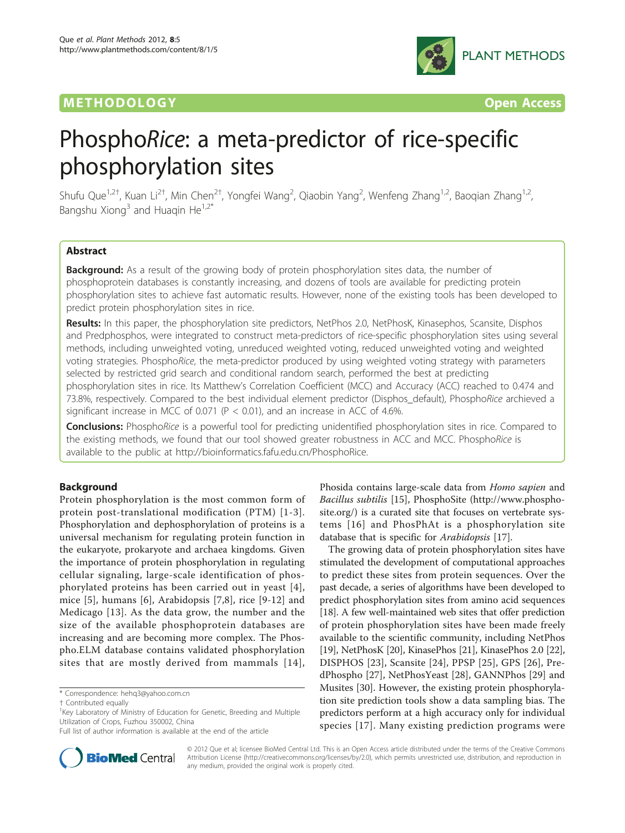# **METHODOLOGY Open Access**



# PhosphoRice: a meta-predictor of rice-specific phosphorylation sites

Shufu Que<sup>1,2†</sup>, Kuan Li<sup>2†</sup>, Min Chen<sup>2†</sup>, Yongfei Wang<sup>2</sup>, Qiaobin Yang<sup>2</sup>, Wenfeng Zhang<sup>1,2</sup>, Baoqian Zhang<sup>1,2</sup>, Bangshu Xiong<sup>3</sup> and Huaqin He<sup>1,2'</sup>

# Abstract

**Background:** As a result of the growing body of protein phosphorylation sites data, the number of phosphoprotein databases is constantly increasing, and dozens of tools are available for predicting protein phosphorylation sites to achieve fast automatic results. However, none of the existing tools has been developed to predict protein phosphorylation sites in rice.

Results: In this paper, the phosphorylation site predictors, NetPhos 2.0, NetPhosK, Kinasephos, Scansite, Disphos and Predphosphos, were integrated to construct meta-predictors of rice-specific phosphorylation sites using several methods, including unweighted voting, unreduced weighted voting, reduced unweighted voting and weighted voting strategies. PhosphoRice, the meta-predictor produced by using weighted voting strategy with parameters selected by restricted grid search and conditional random search, performed the best at predicting phosphorylation sites in rice. Its Matthew's Correlation Coefficient (MCC) and Accuracy (ACC) reached to 0.474 and 73.8%, respectively. Compared to the best individual element predictor (Disphos\_default), PhosphoRice archieved a significant increase in MCC of 0.071 ( $P < 0.01$ ), and an increase in ACC of 4.6%.

Conclusions: PhosphoRice is a powerful tool for predicting unidentified phosphorylation sites in rice. Compared to the existing methods, we found that our tool showed greater robustness in ACC and MCC. PhosphoRice is available to the public at<http://bioinformatics.fafu.edu.cn/PhosphoRice>.

# Background

Protein phosphorylation is the most common form of protein post-translational modification (PTM) [[1-3\]](#page-7-0). Phosphorylation and dephosphorylation of proteins is a universal mechanism for regulating protein function in the eukaryote, prokaryote and archaea kingdoms. Given the importance of protein phosphorylation in regulating cellular signaling, large-scale identification of phosphorylated proteins has been carried out in yeast [[4](#page-7-0)], mice [\[5](#page-7-0)], humans [[6\]](#page-7-0), Arabidopsis [[7,8\]](#page-7-0), rice [[9-12\]](#page-7-0) and Medicago [[13](#page-7-0)]. As the data grow, the number and the size of the available phosphoprotein databases are increasing and are becoming more complex. The Phospho.ELM database contains validated phosphorylation sites that are mostly derived from mammals [[14\]](#page-7-0),



The growing data of protein phosphorylation sites have stimulated the development of computational approaches to predict these sites from protein sequences. Over the past decade, a series of algorithms have been developed to predict phosphorylation sites from amino acid sequences [[18](#page-7-0)]. A few well-maintained web sites that offer prediction of protein phosphorylation sites have been made freely available to the scientific community, including NetPhos [[19](#page-7-0)], NetPhosK [\[20](#page-7-0)], KinasePhos [\[21](#page-7-0)], KinasePhos 2.0 [[22](#page-7-0)], DISPHOS [[23](#page-7-0)], Scansite [\[24](#page-7-0)], PPSP [\[25](#page-7-0)], GPS [\[26](#page-7-0)], PredPhospho [[27\]](#page-7-0), NetPhosYeast [[28\]](#page-7-0), GANNPhos [\[29](#page-8-0)] and Musites [[30\]](#page-8-0). However, the existing protein phosphorylation site prediction tools show a data sampling bias. The predictors perform at a high accuracy only for individual species [[17](#page-7-0)]. Many existing prediction programs were



© 2012 Que et al; licensee BioMed Central Ltd. This is an Open Access article distributed under the terms of the Creative Commons Attribution License [\(http://creativecommons.org/licenses/by/2.0](http://creativecommons.org/licenses/by/2.0)), which permits unrestricted use, distribution, and reproduction in any medium, provided the original work is properly cited.

<sup>\*</sup> Correspondence: [hehq3@yahoo.com.cn](mailto:hehq3@yahoo.com.cn)

<sup>†</sup> Contributed equally <sup>1</sup>

<sup>&</sup>lt;sup>1</sup>Key Laboratory of Ministry of Education for Genetic, Breeding and Multiple Utilization of Crops, Fuzhou 350002, China

Full list of author information is available at the end of the article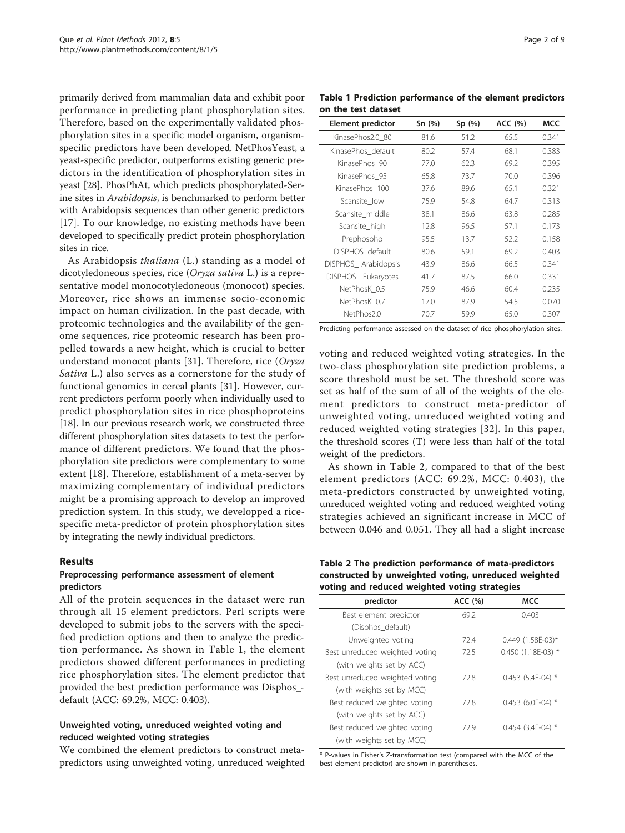primarily derived from mammalian data and exhibit poor performance in predicting plant phosphorylation sites. Therefore, based on the experimentally validated phosphorylation sites in a specific model organism, organismspecific predictors have been developed. NetPhosYeast, a yeast-specific predictor, outperforms existing generic predictors in the identification of phosphorylation sites in yeast [[28](#page-7-0)]. PhosPhAt, which predicts phosphorylated-Serine sites in Arabidopsis, is benchmarked to perform better with Arabidopsis sequences than other generic predictors [[17](#page-7-0)]. To our knowledge, no existing methods have been developed to specifically predict protein phosphorylation sites in rice.

As Arabidopsis thaliana (L.) standing as a model of dicotyledoneous species, rice (Oryza sativa L.) is a representative model monocotyledoneous (monocot) species. Moreover, rice shows an immense socio-economic impact on human civilization. In the past decade, with proteomic technologies and the availability of the genome sequences, rice proteomic research has been propelled towards a new height, which is crucial to better understand monocot plants [[31\]](#page-8-0). Therefore, rice (Oryza Sativa L.) also serves as a cornerstone for the study of functional genomics in cereal plants [[31\]](#page-8-0). However, current predictors perform poorly when individually used to predict phosphorylation sites in rice phosphoproteins [[18\]](#page-7-0). In our previous research work, we constructed three different phosphorylation sites datasets to test the performance of different predictors. We found that the phosphorylation site predictors were complementary to some extent [\[18](#page-7-0)]. Therefore, establishment of a meta-server by maximizing complementary of individual predictors might be a promising approach to develop an improved prediction system. In this study, we developped a ricespecific meta-predictor of protein phosphorylation sites by integrating the newly individual predictors.

# Results

#### Preprocessing performance assessment of element predictors

All of the protein sequences in the dataset were run through all 15 element predictors. Perl scripts were developed to submit jobs to the servers with the specified prediction options and then to analyze the prediction performance. As shown in Table 1, the element predictors showed different performances in predicting rice phosphorylation sites. The element predictor that provided the best prediction performance was Disphos\_ default (ACC: 69.2%, MCC: 0.403).

# Unweighted voting, unreduced weighted voting and reduced weighted voting strategies

We combined the element predictors to construct metapredictors using unweighted voting, unreduced weighted

Table 1 Prediction performance of the element predictors on the test dataset

| Element predictor   | Sn $(%)$ | Sp(%) | ACC (%) | MCC   |
|---------------------|----------|-------|---------|-------|
| KinasePhos2.0_80    | 81.6     | 51.2  | 65.5    | 0.341 |
| KinasePhos default  | 80.2     | 57.4  | 68.1    | 0.383 |
| KinasePhos 90       | 77.0     | 62.3  | 69.2    | 0.395 |
| KinasePhos 95       | 65.8     | 73.7  | 70.0    | 0.396 |
| KinasePhos_100      | 37.6     | 89.6  | 65.1    | 0.321 |
| Scansite low        | 75.9     | 54.8  | 64.7    | 0.313 |
| Scansite middle     | 38.1     | 86.6  | 63.8    | 0.285 |
| Scansite_high       | 12.8     | 96.5  | 57.1    | 0.173 |
| Prephospho          | 95.5     | 13.7  | 52.2    | 0.158 |
| DISPHOS default     | 80.6     | 59.1  | 69.2    | 0.403 |
| DISPHOS_Arabidopsis | 43.9     | 86.6  | 66.5    | 0.341 |
| DISPHOS Eukaryotes  | 41.7     | 87.5  | 66.0    | 0.331 |
| NetPhosK 0.5        | 75.9     | 46.6  | 60.4    | 0.235 |
| NetPhosK 0.7        | 17.0     | 87.9  | 54.5    | 0.070 |
| NetPhos2.0          | 70.7     | 59.9  | 65.0    | 0.307 |

Predicting performance assessed on the dataset of rice phosphorylation sites.

voting and reduced weighted voting strategies. In the two-class phosphorylation site prediction problems, a score threshold must be set. The threshold score was set as half of the sum of all of the weights of the element predictors to construct meta-predictor of unweighted voting, unreduced weighted voting and reduced weighted voting strategies [[32](#page-8-0)]. In this paper, the threshold scores (T) were less than half of the total weight of the predictors.

As shown in Table 2, compared to that of the best element predictors (ACC: 69.2%, MCC: 0.403), the meta-predictors constructed by unweighted voting, unreduced weighted voting and reduced weighted voting strategies achieved an significant increase in MCC of between 0.046 and 0.051. They all had a slight increase

#### Table 2 The prediction performance of meta-predictors constructed by unweighted voting, unreduced weighted voting and reduced weighted voting strategies

| predictor                      | ACC (%) | <b>MCC</b>          |
|--------------------------------|---------|---------------------|
| Best element predictor         | 69.2    | 0.403               |
| (Disphos default)              |         |                     |
| Unweighted voting              | 72.4    | 0.449 (1.58E-03)*   |
| Best unreduced weighted voting | 72.5    | 0.450 (1.18E-03) *  |
| (with weights set by ACC)      |         |                     |
| Best unreduced weighted voting | 72.8    | $0.453$ (5.4E-04) * |
| (with weights set by MCC)      |         |                     |
| Best reduced weighted voting   | 728     | $0.453$ (6.0E-04) * |
| (with weights set by ACC)      |         |                     |
| Best reduced weighted voting   | 72.9    | $0.454$ (3.4E-04) * |
| (with weights set by MCC)      |         |                     |

\* P-values in Fisher's Z-transformation test (compared with the MCC of the best element predictor) are shown in parentheses.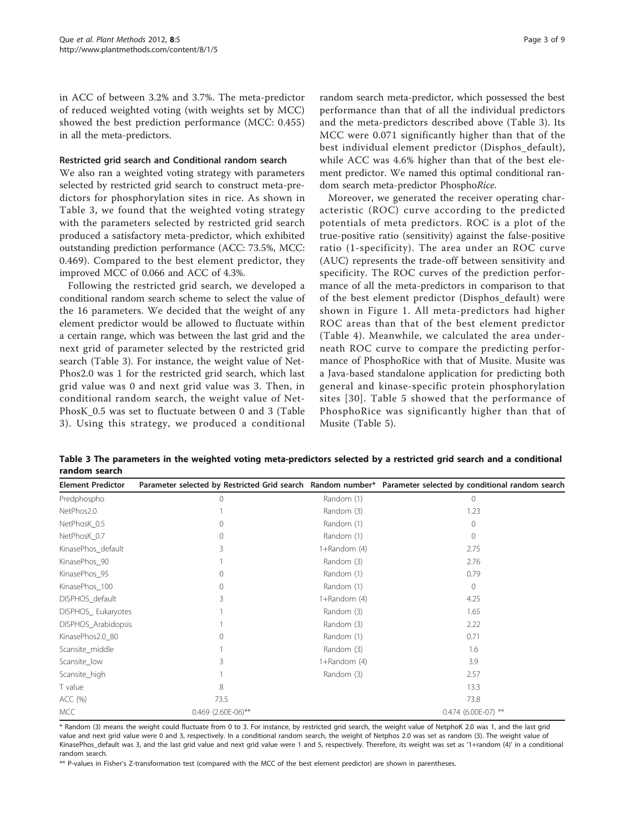<span id="page-2-0"></span>in ACC of between 3.2% and 3.7%. The meta-predictor of reduced weighted voting (with weights set by MCC) showed the best prediction performance (MCC: 0.455) in all the meta-predictors.

#### Restricted grid search and Conditional random search

We also ran a weighted voting strategy with parameters selected by restricted grid search to construct meta-predictors for phosphorylation sites in rice. As shown in Table 3, we found that the weighted voting strategy with the parameters selected by restricted grid search produced a satisfactory meta-predictor, which exhibited outstanding prediction performance (ACC: 73.5%, MCC: 0.469). Compared to the best element predictor, they improved MCC of 0.066 and ACC of 4.3%.

Following the restricted grid search, we developed a conditional random search scheme to select the value of the 16 parameters. We decided that the weight of any element predictor would be allowed to fluctuate within a certain range, which was between the last grid and the next grid of parameter selected by the restricted grid search (Table 3). For instance, the weight value of Net-Phos2.0 was 1 for the restricted grid search, which last grid value was 0 and next grid value was 3. Then, in conditional random search, the weight value of Net-PhosK\_0.5 was set to fluctuate between 0 and 3 (Table 3). Using this strategy, we produced a conditional

random search meta-predictor, which possessed the best performance than that of all the individual predictors and the meta-predictors described above (Table 3). Its MCC were 0.071 significantly higher than that of the best individual element predictor (Disphos\_default), while ACC was 4.6% higher than that of the best element predictor. We named this optimal conditional random search meta-predictor PhosphoRice.

Moreover, we generated the receiver operating characteristic (ROC) curve according to the predicted potentials of meta predictors. ROC is a plot of the true-positive ratio (sensitivity) against the false-positive ratio (1-specificity). The area under an ROC curve (AUC) represents the trade-off between sensitivity and specificity. The ROC curves of the prediction performance of all the meta-predictors in comparison to that of the best element predictor (Disphos\_default) were shown in Figure [1.](#page-3-0) All meta-predictors had higher ROC areas than that of the best element predictor (Table [4\)](#page-3-0). Meanwhile, we calculated the area underneath ROC curve to compare the predicting performance of PhosphoRice with that of Musite. Musite was a Java-based standalone application for predicting both general and kinase-specific protein phosphorylation sites [[30](#page-8-0)]. Table [5](#page-3-0) showed that the performance of PhosphoRice was significantly higher than that of Musite (Table [5\)](#page-3-0).

Table 3 The parameters in the weighted voting meta-predictors selected by a restricted grid search and a conditional random search

| <b>Element Predictor</b> |                    |              | Parameter selected by Restricted Grid search Random number* Parameter selected by conditional random search |
|--------------------------|--------------------|--------------|-------------------------------------------------------------------------------------------------------------|
| Predphospho              | 0                  | Random (1)   | $\Omega$                                                                                                    |
| NetPhos2.0               |                    | Random (3)   | 1.23                                                                                                        |
| NetPhosK 0.5             |                    | Random (1)   | $\Omega$                                                                                                    |
| NetPhosK 0.7             | 0                  | Random (1)   | $\Omega$                                                                                                    |
| KinasePhos default       | 3                  | 1+Random (4) | 2.75                                                                                                        |
| KinasePhos_90            |                    | Random (3)   | 2.76                                                                                                        |
| KinasePhos_95            | 0                  | Random (1)   | 0.79                                                                                                        |
| KinasePhos 100           | $\Omega$           | Random (1)   | $\Omega$                                                                                                    |
| DISPHOS_default          | 3                  | 1+Random (4) | 4.25                                                                                                        |
| DISPHOS_Eukaryotes       |                    | Random (3)   | 1.65                                                                                                        |
| DISPHOS Arabidopsis      |                    | Random (3)   | 2.22                                                                                                        |
| KinasePhos2.0 80         |                    | Random (1)   | 0.71                                                                                                        |
| Scansite_middle          |                    | Random (3)   | 1.6                                                                                                         |
| Scansite_low             | 3                  | 1+Random (4) | 3.9                                                                                                         |
| Scansite_high            |                    | Random (3)   | 2.57                                                                                                        |
| T value                  | 8                  |              | 13.3                                                                                                        |
| ACC (%)                  | 73.5               |              | 73.8                                                                                                        |
| MCC                      | 0.469 (2.60E-06)** |              | 0.474 (6.00E-07) **                                                                                         |

\* Random (3) means the weight could fluctuate from 0 to 3. For instance, by restricted grid search, the weight value of NetphoK 2.0 was 1, and the last grid value and next grid value were 0 and 3, respectively. In a conditional random search, the weight of Netphos 2.0 was set as random (3). The weight value of KinasePhos\_default was 3, and the last grid value and next grid value were 1 and 5, respectively. Therefore, its weight was set as '1+random (4)' in a conditional random search.

\*\* P-values in Fisher's Z-transformation test (compared with the MCC of the best element predictor) are shown in parentheses.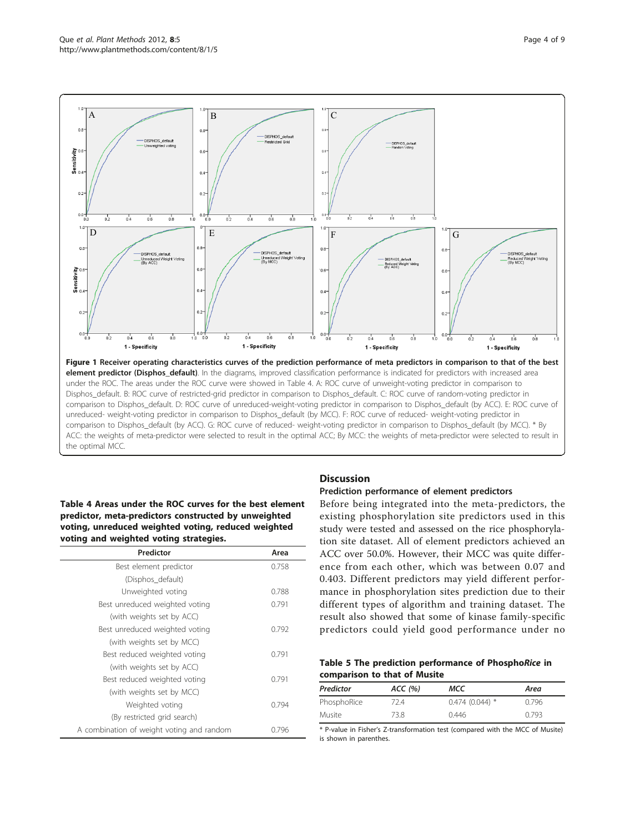<span id="page-3-0"></span>

the optimal MCC.

# Table 4 Areas under the ROC curves for the best element predictor, meta-predictors constructed by unweighted voting, unreduced weighted voting, reduced weighted voting and weighted voting strategies.

| Predictor                                 | Area  |
|-------------------------------------------|-------|
| Best element predictor                    | 0.758 |
| (Disphos_default)                         |       |
| Unweighted voting                         | 0.788 |
| Best unreduced weighted voting            | 0.791 |
| (with weights set by ACC)                 |       |
| Best unreduced weighted voting            | 0.792 |
| (with weights set by MCC)                 |       |
| Best reduced weighted voting              | 0.791 |
| (with weights set by ACC)                 |       |
| Best reduced weighted voting              | 0.791 |
| (with weights set by MCC)                 |       |
| Weighted voting                           | 0.794 |
| (By restricted grid search)               |       |
| A combination of weight voting and random | 0.796 |

# **Discussion**

# Prediction performance of element predictors

Before being integrated into the meta-predictors, the existing phosphorylation site predictors used in this study were tested and assessed on the rice phosphorylation site dataset. All of element predictors achieved an ACC over 50.0%. However, their MCC was quite difference from each other, which was between 0.07 and 0.403. Different predictors may yield different performance in phosphorylation sites prediction due to their different types of algorithm and training dataset. The result also showed that some of kinase family-specific predictors could yield good performance under no

|                              |  | Table 5 The prediction performance of PhosphoRice in |  |  |
|------------------------------|--|------------------------------------------------------|--|--|
| comparison to that of Musite |  |                                                      |  |  |

| Predictor   | ACC(%) | мсс              | Area  |
|-------------|--------|------------------|-------|
| PhosphoRice | 72.4   | $0.474(0.044)$ * | 0.796 |
| Musite      | 73.8   | 0.446            | 0.793 |

\* P-value in Fisher's Z-transformation test (compared with the MCC of Musite) is shown in parenthes.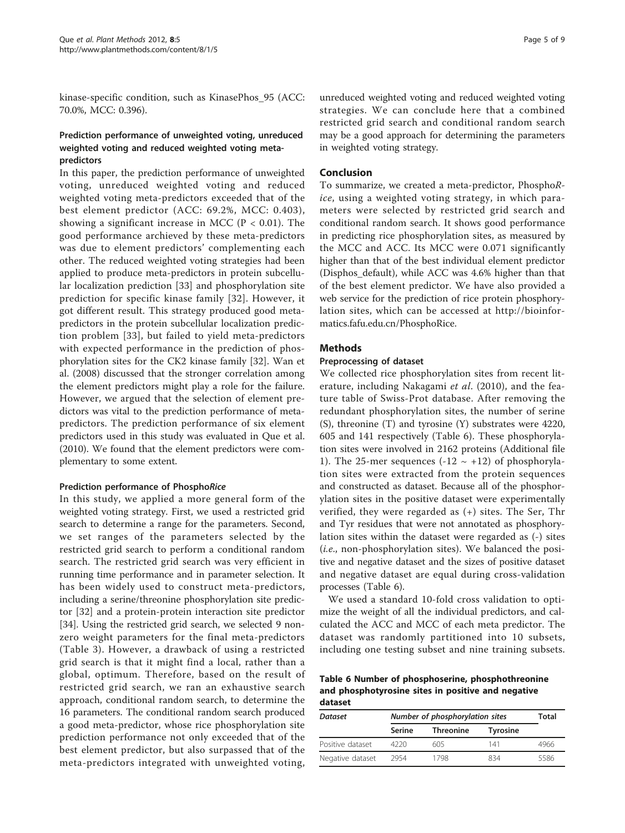kinase-specific condition, such as KinasePhos\_95 (ACC: 70.0%, MCC: 0.396).

# Prediction performance of unweighted voting, unreduced weighted voting and reduced weighted voting metapredictors

In this paper, the prediction performance of unweighted voting, unreduced weighted voting and reduced weighted voting meta-predictors exceeded that of the best element predictor (ACC: 69.2%, MCC: 0.403), showing a significant increase in MCC ( $P < 0.01$ ). The good performance archieved by these meta-predictors was due to element predictors' complementing each other. The reduced weighted voting strategies had been applied to produce meta-predictors in protein subcellular localization prediction [[33\]](#page-8-0) and phosphorylation site prediction for specific kinase family [[32\]](#page-8-0). However, it got different result. This strategy produced good metapredictors in the protein subcellular localization prediction problem [[33\]](#page-8-0), but failed to yield meta-predictors with expected performance in the prediction of phosphorylation sites for the CK2 kinase family [\[32](#page-8-0)]. Wan et al. (2008) discussed that the stronger correlation among the element predictors might play a role for the failure. However, we argued that the selection of element predictors was vital to the prediction performance of metapredictors. The prediction performance of six element predictors used in this study was evaluated in Que et al. (2010). We found that the element predictors were complementary to some extent.

#### Prediction performance of PhosphoRice

In this study, we applied a more general form of the weighted voting strategy. First, we used a restricted grid search to determine a range for the parameters. Second, we set ranges of the parameters selected by the restricted grid search to perform a conditional random search. The restricted grid search was very efficient in running time performance and in parameter selection. It has been widely used to construct meta-predictors, including a serine/threonine phosphorylation site predictor [[32\]](#page-8-0) and a protein-protein interaction site predictor [[34\]](#page-8-0). Using the restricted grid search, we selected 9 nonzero weight parameters for the final meta-predictors (Table [3\)](#page-2-0). However, a drawback of using a restricted grid search is that it might find a local, rather than a global, optimum. Therefore, based on the result of restricted grid search, we ran an exhaustive search approach, conditional random search, to determine the 16 parameters. The conditional random search produced a good meta-predictor, whose rice phosphorylation site prediction performance not only exceeded that of the best element predictor, but also surpassed that of the meta-predictors integrated with unweighted voting,

unreduced weighted voting and reduced weighted voting strategies. We can conclude here that a combined restricted grid search and conditional random search may be a good approach for determining the parameters in weighted voting strategy.

# Conclusion

To summarize, we created a meta-predictor, PhosphoRice, using a weighted voting strategy, in which parameters were selected by restricted grid search and conditional random search. It shows good performance in predicting rice phosphorylation sites, as measured by the MCC and ACC. Its MCC were 0.071 significantly higher than that of the best individual element predictor (Disphos default), while ACC was 4.6% higher than that of the best element predictor. We have also provided a web service for the prediction of rice protein phosphorylation sites, which can be accessed at [http://bioinfor](http://bioinformatics.fafu.edu.cn/PhosphoRice)[matics.fafu.edu.cn/PhosphoRice](http://bioinformatics.fafu.edu.cn/PhosphoRice).

### Methods

#### Preprocessing of dataset

We collected rice phosphorylation sites from recent literature, including Nakagami et al. (2010), and the feature table of Swiss-Prot database. After removing the redundant phosphorylation sites, the number of serine (S), threonine (T) and tyrosine (Y) substrates were 4220, 605 and 141 respectively (Table 6). These phosphorylation sites were involved in 2162 proteins (Additional file [1\)](#page-7-0). The 25-mer sequences  $(-12 \sim +12)$  of phosphorylation sites were extracted from the protein sequences and constructed as dataset. Because all of the phosphorylation sites in the positive dataset were experimentally verified, they were regarded as (+) sites. The Ser, Thr and Tyr residues that were not annotated as phosphorylation sites within the dataset were regarded as (-) sites (i.e., non-phosphorylation sites). We balanced the positive and negative dataset and the sizes of positive dataset and negative dataset are equal during cross-validation processes (Table 6).

We used a standard 10-fold cross validation to optimize the weight of all the individual predictors, and calculated the ACC and MCC of each meta predictor. The dataset was randomly partitioned into 10 subsets, including one testing subset and nine training subsets.

Table 6 Number of phosphoserine, phosphothreonine and phosphotyrosine sites in positive and negative dataset

| <b>Dataset</b>   | Number of phosphorylation sites | Total            |                 |      |
|------------------|---------------------------------|------------------|-----------------|------|
|                  | Serine                          | <b>Threonine</b> | <b>Tyrosine</b> |      |
| Positive dataset | 4220                            | 605              | 141             | 4966 |
| Negative dataset | 2954                            | 1798             | 834             | 5586 |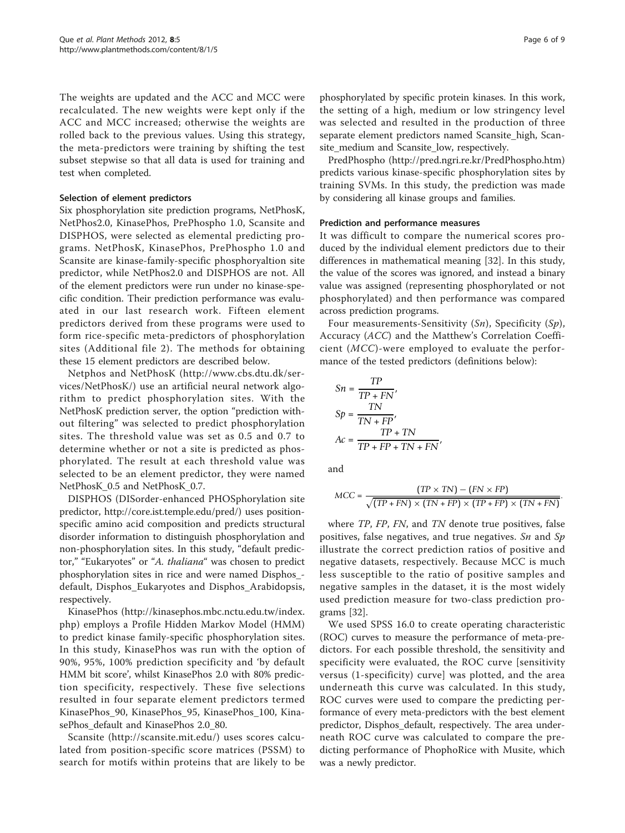The weights are updated and the ACC and MCC were recalculated. The new weights were kept only if the ACC and MCC increased; otherwise the weights are rolled back to the previous values. Using this strategy, the meta-predictors were training by shifting the test subset stepwise so that all data is used for training and test when completed.

#### Selection of element predictors

Six phosphorylation site prediction programs, NetPhosK, NetPhos2.0, KinasePhos, PrePhospho 1.0, Scansite and DISPHOS, were selected as elemental predicting programs. NetPhosK, KinasePhos, PrePhospho 1.0 and Scansite are kinase-family-specific phosphoryaltion site predictor, while NetPhos2.0 and DISPHOS are not. All of the element predictors were run under no kinase-specific condition. Their prediction performance was evaluated in our last research work. Fifteen element predictors derived from these programs were used to form rice-specific meta-predictors of phosphorylation sites (Additional file [2\)](#page-7-0). The methods for obtaining these 15 element predictors are described below.

Netphos and NetPhosK [\(http://www.cbs.dtu.dk/ser](http://www.cbs.dtu.dk/services/NetPhosK/)[vices/NetPhosK/\)](http://www.cbs.dtu.dk/services/NetPhosK/) use an artificial neural network algorithm to predict phosphorylation sites. With the NetPhosK prediction server, the option "prediction without filtering" was selected to predict phosphorylation sites. The threshold value was set as 0.5 and 0.7 to determine whether or not a site is predicted as phosphorylated. The result at each threshold value was selected to be an element predictor, they were named NetPhosK\_0.5 and NetPhosK\_0.7.

DISPHOS (DISorder-enhanced PHOSphorylation site predictor,<http://core.ist.temple.edu/pred/>) uses positionspecific amino acid composition and predicts structural disorder information to distinguish phosphorylation and non-phosphorylation sites. In this study, "default predictor," "Eukaryotes" or "A. thaliana" was chosen to predict phosphorylation sites in rice and were named Disphos\_ default, Disphos\_Eukaryotes and Disphos\_Arabidopsis, respectively.

KinasePhos ([http://kinasephos.mbc.nctu.edu.tw/index.](http://kinasephos.mbc.nctu.edu.tw/index.php) [php\)](http://kinasephos.mbc.nctu.edu.tw/index.php) employs a Profile Hidden Markov Model (HMM) to predict kinase family-specific phosphorylation sites. In this study, KinasePhos was run with the option of 90%, 95%, 100% prediction specificity and 'by default HMM bit score', whilst KinasePhos 2.0 with 80% prediction specificity, respectively. These five selections resulted in four separate element predictors termed KinasePhos\_90, KinasePhos\_95, KinasePhos\_100, KinasePhos\_default and KinasePhos 2.0\_80.

Scansite [\(http://scansite.mit.edu/](http://scansite.mit.edu/)) uses scores calculated from position-specific score matrices (PSSM) to search for motifs within proteins that are likely to be

phosphorylated by specific protein kinases. In this work, the setting of a high, medium or low stringency level was selected and resulted in the production of three separate element predictors named Scansite\_high, Scansite\_medium and Scansite\_low, respectively.

PredPhospho (<http://pred.ngri.re.kr/PredPhospho.htm>) predicts various kinase-specific phosphorylation sites by training SVMs. In this study, the prediction was made by considering all kinase groups and families.

#### Prediction and performance measures

It was difficult to compare the numerical scores produced by the individual element predictors due to their differences in mathematical meaning [[32\]](#page-8-0). In this study, the value of the scores was ignored, and instead a binary value was assigned (representing phosphorylated or not phosphorylated) and then performance was compared across prediction programs.

Four measurements-Sensitivity  $(Sn)$ , Specificity  $(Sp)$ , Accuracy (ACC) and the Matthew's Correlation Coefficient (MCC)-were employed to evaluate the performance of the tested predictors (definitions below):

$$
Sn = \frac{TP}{TP + FN'},
$$
  
\n
$$
Sp = \frac{TN}{TN + FP},
$$
  
\n
$$
Ac = \frac{TP + TN}{TP + FP + TN + FN},
$$

and

$$
MCC = \frac{(TP \times TN) - (FN \times FP)}{\sqrt{(TP + FN) \times (TN + FP) \times (TP + FP) \times (TN + FN)}}
$$

where TP, FP, FN, and TN denote true positives, false positives, false negatives, and true negatives. Sn and Sp illustrate the correct prediction ratios of positive and negative datasets, respectively. Because MCC is much less susceptible to the ratio of positive samples and negative samples in the dataset, it is the most widely used prediction measure for two-class prediction programs [[32](#page-8-0)].

We used SPSS 16.0 to create operating characteristic (ROC) curves to measure the performance of meta-predictors. For each possible threshold, the sensitivity and specificity were evaluated, the ROC curve [sensitivity versus (1-specificity) curve] was plotted, and the area underneath this curve was calculated. In this study, ROC curves were used to compare the predicting performance of every meta-predictors with the best element predictor, Disphos\_default, respectively. The area underneath ROC curve was calculated to compare the predicting performance of PhophoRice with Musite, which was a newly predictor.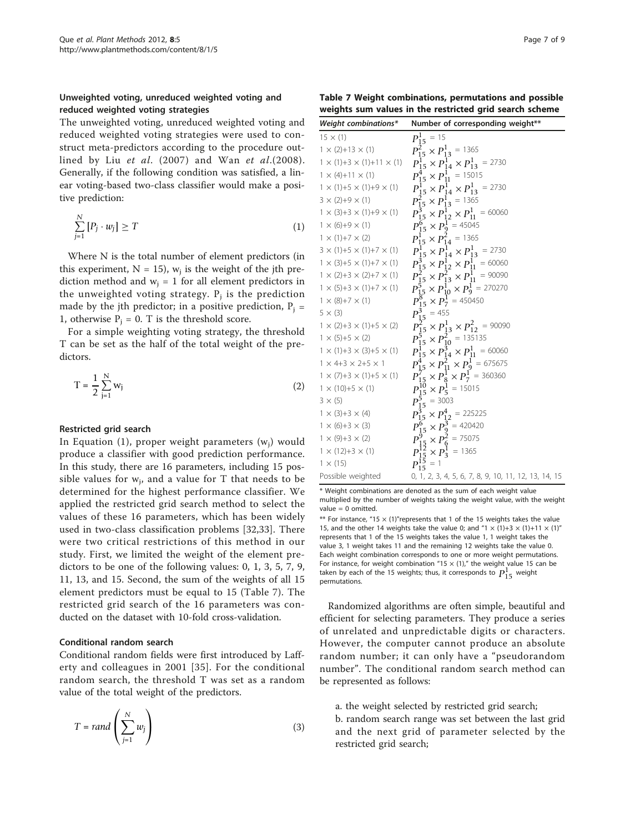# Unweighted voting, unreduced weighted voting and reduced weighted voting strategies

The unweighted voting, unreduced weighted voting and reduced weighted voting strategies were used to construct meta-predictors according to the procedure outlined by Liu et al. (2007) and Wan et al.(2008). Generally, if the following condition was satisfied, a linear voting-based two-class classifier would make a positive prediction:

$$
\sum_{j=1}^{N} [P_j \cdot w_j] \ge T \tag{1}
$$

Where N is the total number of element predictors (in this experiment,  $N = 15$ ,  $w_i$  is the weight of the jth prediction method and  $w_i = 1$  for all element predictors in the unweighted voting strategy.  $P_i$  is the prediction made by the jth predictor; in a positive prediction,  $P_i$  = 1, otherwise  $P_i = 0$ . T is the threshold score.

For a simple weighting voting strategy, the threshold T can be set as the half of the total weight of the predictors.

$$
T = \frac{1}{2} \sum_{j=1}^{N} w_j
$$
 (2)

#### Restricted grid search

In Equation (1), proper weight parameters  $(w_i)$  would produce a classifier with good prediction performance. In this study, there are 16 parameters, including 15 possible values for  $w_i$ , and a value for T that needs to be determined for the highest performance classifier. We applied the restricted grid search method to select the values of these 16 parameters, which has been widely used in two-class classification problems [[32,33\]](#page-8-0). There were two critical restrictions of this method in our study. First, we limited the weight of the element predictors to be one of the following values: 0, 1, 3, 5, 7, 9, 11, 13, and 15. Second, the sum of the weights of all 15 element predictors must be equal to 15 (Table 7). The restricted grid search of the 16 parameters was conducted on the dataset with 10-fold cross-validation.

#### Conditional random search

Conditional random fields were first introduced by Lafferty and colleagues in 2001 [\[35\]](#page-8-0). For the conditional random search, the threshold T was set as a random value of the total weight of the predictors.

$$
T = rand\left(\sum_{j=1}^{N} w_j\right)
$$
 (3)

Table 7 Weight combinations, permutations and possible weights sum values in the restricted grid search scheme

| Weight combinations*                      | Number of corresponding weight**                                                          |
|-------------------------------------------|-------------------------------------------------------------------------------------------|
| $15 \times (1)$                           | $P_{15}^1$ = 15                                                                           |
| $1 \times (2) + 13 \times (1)$            | $P_{15}^2 \times P_{13}^1 = 1365$                                                         |
| $1 \times (1)+3 \times (1)+11 \times (1)$ | $P_{15}^1 \times P_{14}^1 \times P_{13}^1 = 2730$                                         |
| $1 \times (4) + 11 \times (1)$            | $P_{15}^4 \times P_{11}^1 = 15015$                                                        |
| $1 \times (1)+5 \times (1)+9 \times (1)$  | $P_{15}^1 \times P_{14}^1 \times P_{13}^1 = 2730$                                         |
| $3 \times (2)+9 \times (1)$               | $P_{15}^2 \times P_{13}^1$ = 1365                                                         |
| $1 \times (3)+3 \times (1)+9 \times (1)$  | $P_{15}^3 \times P_{12}^1 \times P_{11}^1 = 60060$                                        |
| $1 \times (6)+9 \times (1)$               | $P_{15}^{6} \times P_{9}^{1}$ = 45045                                                     |
| $1 \times (1)+7 \times (2)$               | $P_{15}^1 \times P_{14}^2 = 1365$                                                         |
| $3 \times (1)+5 \times (1)+7 \times (1)$  | $P_{15}^1 \times P_{14}^1 \times P_{13}^1 = 2730$                                         |
| $1 \times (3)+5 \times (1)+7 \times (1)$  | $P_{15}^3 \times P_{12}^1 \times P_{11}^1 = 60060$                                        |
| $1 \times (2)+3 \times (2)+7 \times (1)$  | $P_{15}^2 \times P_{13}^2 \times P_{11}^1 = 90090$                                        |
| $1 \times (5)+3 \times (1)+7 \times (1)$  | $P_{15}^{5} \times P_{10}^{1} \times P_{9}^{1} = 270270$                                  |
| $1 \times (8)+7 \times (1)$               | $P_{15}^{8} \times P_{7}^{1} = 450450$                                                    |
| $5 \times (3)$                            | $P_{15}^3$ = 455                                                                          |
| $1 \times (2)+3 \times (1)+5 \times (2)$  | $P_{15}^2 \times P_{13}^1 \times P_{12}^2 = 90090$                                        |
| $1 \times (5)+5 \times (2)$               | $P_{15}^5 \times P_{10}^2 = 135135$                                                       |
| $1 \times (1)+3 \times (3)+5 \times (1)$  | $P_{15}^{\overline{1}} \times P_{14}^{\overline{3}} \times P_{11}^{\overline{1}} = 60060$ |
| $1 \times 4 + 3 \times 2 + 5 \times 1$    | $P_{15}^4 \times P_{11}^2 \times P_9^1$ = 675675                                          |
| $1 \times (7)+3 \times (1)+5 \times (1)$  | $P_{15}^{7} \times P_8^{1} \times P_7^{1} = 360360$                                       |
| $1 \times (10)+5 \times (1)$              | $P_{15}^{10} \times P_5^1$ = 15015                                                        |
| $3 \times (5)$                            | $P_{15}^{5} = 3003$                                                                       |
| $1 \times (3)+3 \times (4)$               | $P_{15}^3 \times P_{12}^4$ = 225225                                                       |
| $1 \times (6)+3 \times (3)$               | $P_{15}^6 \times P_9^3$ = 420420                                                          |
| $1 \times (9) + 3 \times (2)$             | $P_{15}^{5} \times P_6^{2} = 75075$                                                       |
| $1 \times (12)+3 \times (1)$              | $P_{15}^{12} \times P_3^1 = 1365$                                                         |
| $1 \times (15)$                           | $P_{15}^{15} = 1$                                                                         |
| Possible weighted                         | 0, 1, 2, 3, 4, 5, 6, 7, 8, 9, 10, 11, 12, 13, 14, 15                                      |

\* Weight combinations are denoted as the sum of each weight value multiplied by the number of weights taking the weight value, with the weight value  $= 0$  omitted.

\*\* For instance, "15  $\times$  (1)"represents that 1 of the 15 weights takes the value 15, and the other 14 weights take the value 0; and "1  $\times$  (1)+3  $\times$  (1)+11  $\times$  (1)" represents that 1 of the 15 weights takes the value 1, 1 weight takes the value 3, 1 weight takes 11 and the remaining 12 weights take the value 0. Each weight combination corresponds to one or more weight permutations. For instance, for weight combination "15  $\times$  (1)," the weight value 15 can be taken by each of the 15 weights; thus, it corresponds to  $P_{15}^1$  weight permutations.

Randomized algorithms are often simple, beautiful and efficient for selecting parameters. They produce a series of unrelated and unpredictable digits or characters. However, the computer cannot produce an absolute random number; it can only have a "pseudorandom number". The conditional random search method can be represented as follows:

a. the weight selected by restricted grid search;

b. random search range was set between the last grid and the next grid of parameter selected by the restricted grid search;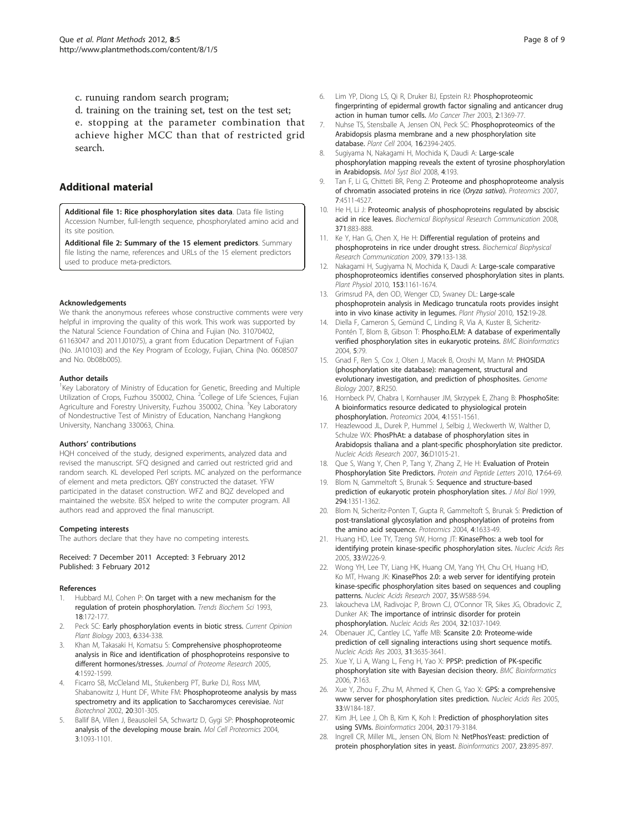<span id="page-7-0"></span>c. runuing random search program;

d. training on the training set, test on the test set; e. stopping at the parameter combination that achieve higher MCC than that of restricted grid search.

# Additional material

[Additional file 1: R](http://www.biomedcentral.com/content/supplementary/1746-4811-8-5-S1.XLS)ice phosphorylation sites data. Data file listing Accession Number, full-length sequence, phosphorylated amino acid and its site position.

[Additional file 2: S](http://www.biomedcentral.com/content/supplementary/1746-4811-8-5-S2.DOC)ummary of the 15 element predictors. Summary file listing the name, references and URLs of the 15 element predictors used to produce meta-predictors.

#### Acknowledgements

We thank the anonymous referees whose constructive comments were very helpful in improving the quality of this work. This work was supported by the Natural Science Foundation of China and Fujian (No. 31070402, 61163047 and 2011J01075), a grant from Education Department of Fujian (No. JA10103) and the Key Program of Ecology, Fujian, China (No. 0608507 and No. 0b08b005).

#### Author details

<sup>1</sup>Key Laboratory of Ministry of Education for Genetic, Breeding and Multiple Utilization of Crops, Fuzhou 350002, China. <sup>2</sup>College of Life Sciences, Fujian Agriculture and Forestry University, Fuzhou 350002, China. <sup>3</sup>Key Laboratory of Nondestructive Test of Ministry of Education, Nanchang Hangkong University, Nanchang 330063, China.

#### Authors' contributions

HQH conceived of the study, designed experiments, analyzed data and revised the manuscript. SFQ designed and carried out restricted grid and random search. KL developed Perl scripts. MC analyzed on the performance of element and meta predictors. QBY constructed the dataset. YFW participated in the dataset construction. WFZ and BQZ developed and maintained the website. BSX helped to write the computer program. All authors read and approved the final manuscript.

#### Competing interests

The authors declare that they have no competing interests.

#### Received: 7 December 2011 Accepted: 3 February 2012 Published: 3 February 2012

#### References

- Hubbard MJ, Cohen P: [On target with a new mechanism for the](http://www.ncbi.nlm.nih.gov/pubmed/8392229?dopt=Abstract) [regulation of protein phosphorylation.](http://www.ncbi.nlm.nih.gov/pubmed/8392229?dopt=Abstract) Trends Biochem Sci 1993, 18:172-177.
- Peck SC: Early phosphorylation events in biotic stress. Current Opinion Plant Biology 2003, 6:334-338.
- 3. Khan M, Takasaki H, Komatsu S: [Comprehensive phosphoproteome](http://www.ncbi.nlm.nih.gov/pubmed/16212411?dopt=Abstract) [analysis in Rice and identification of phosphoproteins responsive to](http://www.ncbi.nlm.nih.gov/pubmed/16212411?dopt=Abstract) [different hormones/stresses.](http://www.ncbi.nlm.nih.gov/pubmed/16212411?dopt=Abstract) Journal of Proteome Research 2005, 4:1592-1599.
- 4. Ficarro SB, McCleland ML, Stukenberg PT, Burke DJ, Ross MM, Shabanowitz J, Hunt DF, White FM: [Phosphoproteome analysis by mass](http://www.ncbi.nlm.nih.gov/pubmed/11875433?dopt=Abstract) [spectrometry and its application to Saccharomyces cerevisiae.](http://www.ncbi.nlm.nih.gov/pubmed/11875433?dopt=Abstract) Nat Biotechnol 2002, 20:301-305.
- Ballif BA, Villen J, Beausoleil SA, Schwartz D, Gygi SP: [Phosphoproteomic](http://www.ncbi.nlm.nih.gov/pubmed/15345747?dopt=Abstract) [analysis of the developing mouse brain.](http://www.ncbi.nlm.nih.gov/pubmed/15345747?dopt=Abstract) Mol Cell Proteomics 2004, 3:1093-1101.
- 6. Lim YP, Diong LS, Qi R, Druker BJ, Epstein RJ: Phosphoproteomic fingerprinting of epidermal growth factor signaling and anticancer drug action in human tumor cells. Mo Cancer Ther 2003, 2:1369-77.
- 7. Nuhse TS, Stensballe A, Jensen ON, Peck SC: [Phosphoproteomics of the](http://www.ncbi.nlm.nih.gov/pubmed/15308754?dopt=Abstract) [Arabidopsis plasma membrane and a new phosphorylation site](http://www.ncbi.nlm.nih.gov/pubmed/15308754?dopt=Abstract) [database.](http://www.ncbi.nlm.nih.gov/pubmed/15308754?dopt=Abstract) Plant Cell 2004, 16:2394-2405.
- 8. Sugiyama N, Nakagami H, Mochida K, Daudi A: [Large-scale](http://www.ncbi.nlm.nih.gov/pubmed/18463617?dopt=Abstract) [phosphorylation mapping reveals the extent of tyrosine phosphorylation](http://www.ncbi.nlm.nih.gov/pubmed/18463617?dopt=Abstract) [in Arabidopsis.](http://www.ncbi.nlm.nih.gov/pubmed/18463617?dopt=Abstract) Mol Syst Biol 2008, 4:193.
- 9. Tan F, Li G, Chitteti BR, Peng Z: [Proteome and phosphoproteome analysis](http://www.ncbi.nlm.nih.gov/pubmed/18022940?dopt=Abstract) [of chromatin associated proteins in rice \(](http://www.ncbi.nlm.nih.gov/pubmed/18022940?dopt=Abstract)Oryza sativa). Proteomics 2007, 7:4511-4527.
- 10. He H, Li J: Proteomic analysis of phosphoproteins regulated by abscisic acid in rice leaves. Biochemical Biophysical Research Communication 2008, 371:883-888.
- 11. Ke Y, Han G, Chen X, He H: Differential regulation of proteins and phosphoproteins in rice under drought stress. Biochemical Biophysical Research Communication 2009, 379:133-138.
- 12. Nakagami H, Sugiyama N, Mochida K, Daudi A: [Large-scale comparative](http://www.ncbi.nlm.nih.gov/pubmed/20466843?dopt=Abstract) [phosphoproteomics identifies conserved phosphorylation sites in plants.](http://www.ncbi.nlm.nih.gov/pubmed/20466843?dopt=Abstract) Plant Physiol 2010, 153:1161-1674.
- 13. Grimsrud PA, den OD, Wenger CD, Swaney DL: [Large-scale](http://www.ncbi.nlm.nih.gov/pubmed/19923235?dopt=Abstract) [phosphoprotein analysis in Medicago truncatula roots provides insight](http://www.ncbi.nlm.nih.gov/pubmed/19923235?dopt=Abstract) [into in vivo kinase activity in legumes.](http://www.ncbi.nlm.nih.gov/pubmed/19923235?dopt=Abstract) Plant Physiol 2010, 152:19-28.
- 14. Diella F, Cameron S, Gemünd C, Linding R, Via A, Kuster B, Sicheritz-Pontén T, Blom B, Gibson T: [Phospho.ELM: A database of experimentally](http://www.ncbi.nlm.nih.gov/pubmed/15212693?dopt=Abstract) [verified phosphorylation sites in eukaryotic proteins.](http://www.ncbi.nlm.nih.gov/pubmed/15212693?dopt=Abstract) BMC Bioinformatics 2004, 5:79.
- 15. Gnad F, Ren S, Cox J, Olsen J, Macek B, Oroshi M, Mann M: [PHOSIDA](http://www.ncbi.nlm.nih.gov/pubmed/18039369?dopt=Abstract) [\(phosphorylation site database\): management, structural and](http://www.ncbi.nlm.nih.gov/pubmed/18039369?dopt=Abstract) [evolutionary investigation, and prediction of phosphosites.](http://www.ncbi.nlm.nih.gov/pubmed/18039369?dopt=Abstract) Genome Biology 2007, 8:R250.
- 16. Hornbeck PV, Chabra I, Kornhauser JM, Skrzypek E, Zhang B: [PhosphoSite:](http://www.ncbi.nlm.nih.gov/pubmed/15174125?dopt=Abstract) [A bioinformatics resource dedicated to physiological protein](http://www.ncbi.nlm.nih.gov/pubmed/15174125?dopt=Abstract) [phosphorylation.](http://www.ncbi.nlm.nih.gov/pubmed/15174125?dopt=Abstract) Proteomics 2004, 4:1551-1561.
- 17. Heazlewood JL, Durek P, Hummel J, Selbig J, Weckwerth W, Walther D, Schulze WX: [PhosPhAt: a database of phosphorylation sites in](http://www.ncbi.nlm.nih.gov/pubmed/17984086?dopt=Abstract) [Arabidopsis thaliana and a plant-specific phosphorylation site predictor.](http://www.ncbi.nlm.nih.gov/pubmed/17984086?dopt=Abstract) Nucleic Acids Research 2007, 36:D1015-21.
- 18. Que S, Wang Y, Chen P, Tang Y, Zhang Z, He H: [Evaluation of Protein](http://www.ncbi.nlm.nih.gov/pubmed/19508198?dopt=Abstract) [Phosphorylation Site Predictors.](http://www.ncbi.nlm.nih.gov/pubmed/19508198?dopt=Abstract) Protein and Peptide Letters 2010, 17:64-69.
- 19. Blom N, Gammeltoft S, Brunak S: [Sequence and structure-based](http://www.ncbi.nlm.nih.gov/pubmed/10600390?dopt=Abstract) [prediction of eukaryotic protein phosphorylation sites.](http://www.ncbi.nlm.nih.gov/pubmed/10600390?dopt=Abstract) J Mol Biol 1999, 294:1351-1362.
- 20. Blom N, Sicheritz-Ponten T, Gupta R, Gammeltoft S, Brunak S: [Prediction of](http://www.ncbi.nlm.nih.gov/pubmed/15174133?dopt=Abstract) [post-translational glycosylation and phosphorylation of proteins from](http://www.ncbi.nlm.nih.gov/pubmed/15174133?dopt=Abstract) [the amino acid sequence.](http://www.ncbi.nlm.nih.gov/pubmed/15174133?dopt=Abstract) Proteomics 2004, 4:1633-49.
- 21. Huang HD, Lee TY, Tzeng SW, Horng JT: [KinasePhos: a web tool for](http://www.ncbi.nlm.nih.gov/pubmed/15980458?dopt=Abstract) [identifying protein kinase-specific phosphorylation sites.](http://www.ncbi.nlm.nih.gov/pubmed/15980458?dopt=Abstract) Nucleic Acids Res 2005, 33:W226-9.
- 22. Wong YH, Lee TY, Liang HK, Huang CM, Yang YH, Chu CH, Huang HD, Ko MT, Hwang JK: [KinasePhos 2.0: a web server for identifying protein](http://www.ncbi.nlm.nih.gov/pubmed/17517770?dopt=Abstract) [kinase-specific phosphorylation sites based on sequences and coupling](http://www.ncbi.nlm.nih.gov/pubmed/17517770?dopt=Abstract) [patterns.](http://www.ncbi.nlm.nih.gov/pubmed/17517770?dopt=Abstract) Nucleic Acids Research 2007, 35:W588-594.
- 23. Iakoucheva LM, Radivojac P, Brown CJ, O'Connor TR, Sikes JG, Obradovic Z, Dunker AK: [The importance of intrinsic disorder for protein](http://www.ncbi.nlm.nih.gov/pubmed/14960716?dopt=Abstract) [phosphorylation.](http://www.ncbi.nlm.nih.gov/pubmed/14960716?dopt=Abstract) Nucleic Acids Res 2004, 32:1037-1049.
- 24. Obenauer JC, Cantley LC, Yaffe MB: [Scansite 2.0: Proteome-wide](http://www.ncbi.nlm.nih.gov/pubmed/12824383?dopt=Abstract) [prediction of cell signaling interactions using short sequence motifs.](http://www.ncbi.nlm.nih.gov/pubmed/12824383?dopt=Abstract) Nucleic Acids Res 2003, 31:3635-3641.
- 25. Xue Y, Li A, Wang L, Feng H, Yao X: [PPSP: prediction of PK-specific](http://www.ncbi.nlm.nih.gov/pubmed/16549034?dopt=Abstract) [phosphorylation site with Bayesian decision theory.](http://www.ncbi.nlm.nih.gov/pubmed/16549034?dopt=Abstract) BMC Bioinformatics 2006, 7:163.
- 26. Xue Y, Zhou F, Zhu M, Ahmed K, Chen G, Yao X: [GPS: a comprehensive](http://www.ncbi.nlm.nih.gov/pubmed/15980451?dopt=Abstract) [www server for phosphorylation sites prediction.](http://www.ncbi.nlm.nih.gov/pubmed/15980451?dopt=Abstract) Nucleic Acids Res 2005, 33:W184-187.
- 27. Kim JH, Lee J, Oh B, Kim K, Koh I: [Prediction of phosphorylation sites](http://www.ncbi.nlm.nih.gov/pubmed/15231530?dopt=Abstract) [using SVMs.](http://www.ncbi.nlm.nih.gov/pubmed/15231530?dopt=Abstract) Bioinformatics 2004, 20:3179-3184.
- 28. Ingrell CR, Miller ML, Jensen ON, Blom N: [NetPhosYeast: prediction of](http://www.ncbi.nlm.nih.gov/pubmed/17282998?dopt=Abstract) protein [phosphorylation sites in yeast.](http://www.ncbi.nlm.nih.gov/pubmed/17282998?dopt=Abstract) Bioinformatics 2007, 23:895-897.